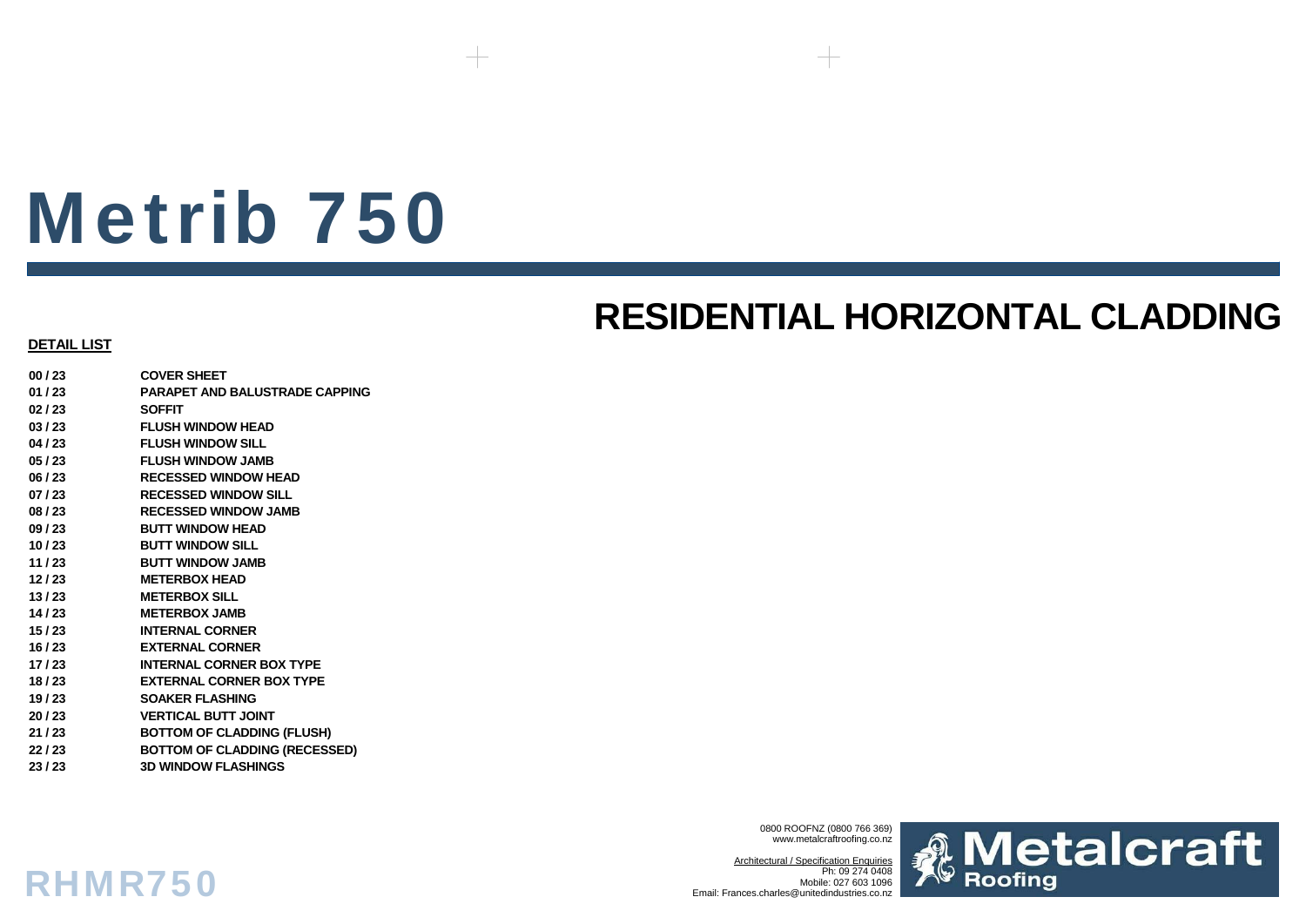## **RESIDENTIAL HORIZONTAL CLADDING**

#### **DETAIL LIST**

**00 / 23 COVER SHEET01 / 23 PARAPET AND BALUSTRADE CAPPING02 / 23 SOFFIT03 / 23 FLUSH WINDOW HEAD04 / 23 FLUSH WINDOW SILL05 / 23 FLUSH WINDOW JAMB06 / 23 RECESSED WINDOW HEAD07 / 23 RECESSED WINDOW SILL08 / 23 RECESSED WINDOW JAMB09 / 23 BUTT WINDOW HEAD10 / 23 BUTT WINDOW SILL11 / 23 BUTT WINDOW JAMB12 / 23 METERBOX HEAD13 / 23 METERBOX SILL14 / 23 METERBOX JAMB 15 / 23 INTERNAL CORNER16 / 23 EXTERNAL CORNER17 / 23 INTERNAL CORNER BOX TYPE18 / 23 EXTERNAL CORNER BOX TYPE19 / 23 SOAKER FLASHING20 / 23 VERTICAL BUTT JOINT21 / 23 BOTTOM OF CLADDING (FLUSH) 22 / 23 BOTTOM OF CLADDING (RECESSED) 23 / 23 3D WINDOW FLASHINGS**

RHMR750

0800 ROOFNZ (0800 766 369) www.metalcraftroofing.co.nz

Architectural / Specification Enquiries Ph: 09 274 0408 Mobile: 027 603 1096Email: Frances.charles@unitedindustries.co.nz

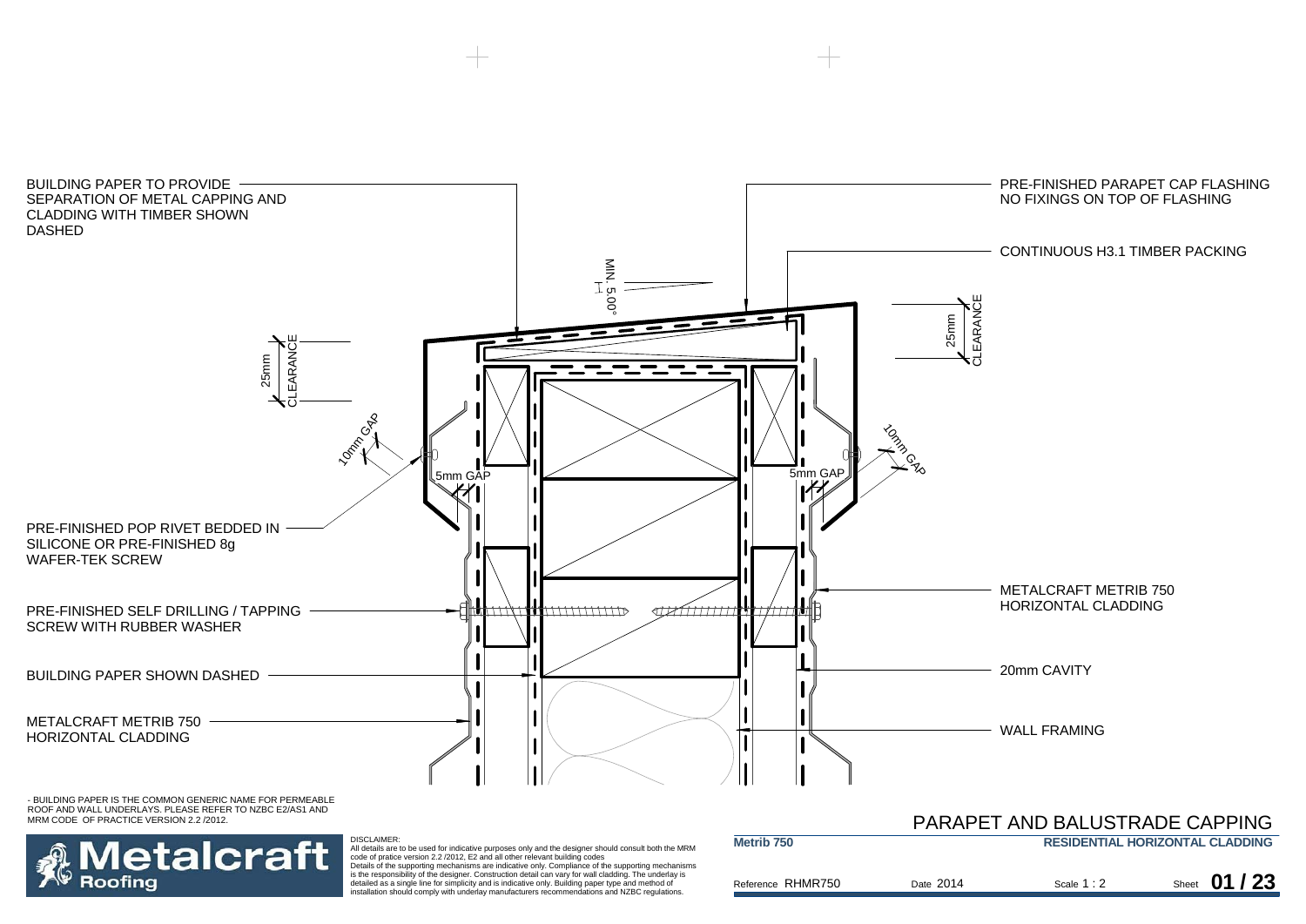



DISCLAIMER:<br>All details are to be used for indicative purposes only and the designer should consult both the MRM<br>code of pratice version 2.2 /2012, E2 and all other relevant building codes<br>Details of the supporting mechani

is the responsibility of the designer. Construction detail can vary for wall cladding. The underlay is detailed as a single line for simplicity and is indicative only. Building paper type and method of installation should comply with underlay manufacturers recommendations and NZBC regulations.

|                   |           |             | <b>PARAPET AND BALUSTRADE CAPPING</b>  |
|-------------------|-----------|-------------|----------------------------------------|
| Metrib 750        |           |             | <b>RESIDENTIAL HORIZONTAL CLADDING</b> |
| Reference RHMR750 | Date 2014 | Scale $1:2$ | Sheet $01/23$                          |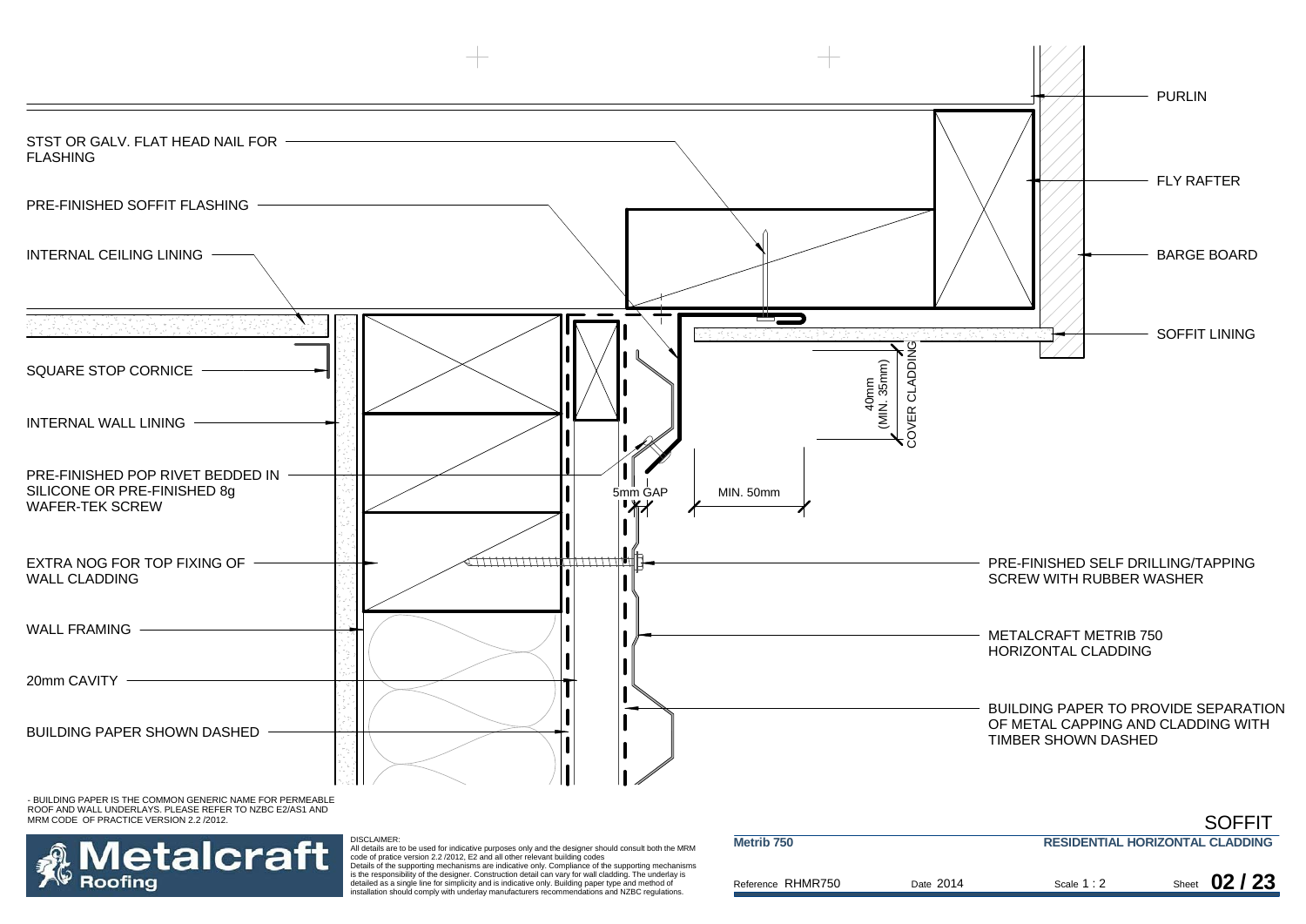



DISCLAIMER:<br>All details are to be used for indicative purposes only and the designer should consult both the MRM<br>code of pratice version 2.2 /2012, E2 and all other relevant building codes Details of the supporting mechanisms are indicative only. Compliance of the supporting mechanisms

is the responsibility of the designer. Construction detail can vary for wall cladding. The underlay is detailed as a single line for simplicity and is indicative only. Building paper type and method of installation should comply with underlay manufacturers recommendations and NZBC regulations.

| Metrib <sub>750</sub> |           |             | <b>RESIDENTIAL HORIZONTAL CLADDING</b> |
|-----------------------|-----------|-------------|----------------------------------------|
| Reference RHMR750     | Date 2014 | Scale $1:2$ | Sheet $02/23$                          |

**SOFFIT**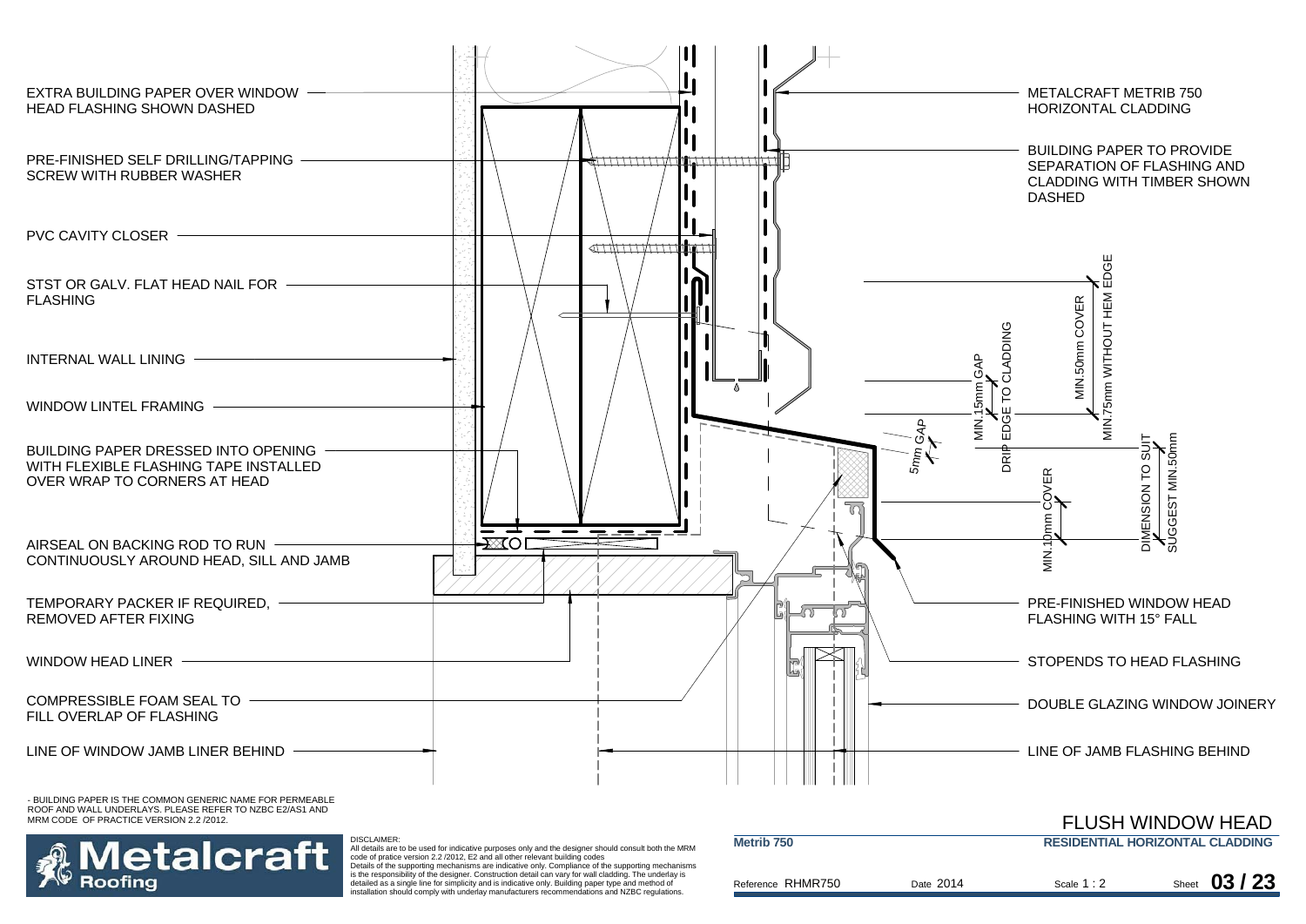

MRM CODE OF PRACTICE VERSION 2.2 /2012.



DISCLAIMER: All details are to be used for indicative purposes only and the designer should consult both the MRM code of pratice version 2.2 /2012, E2 and all other relevant building codes Details of the supporting mechanisms are indicative only. Compliance of the supporting mechanisms

is the responsibility of the designer. Construction detail can vary for wall cladding. The underlay is detailed as a single line for simplicity and is indicative only. Building paper type and method of installation should comply with underlay manufacturers recommendations and NZBC regulations.

| Metrib 750        |           |             | <b>RESIDENTIAL HORIZONTAL CLADDING</b> |               |
|-------------------|-----------|-------------|----------------------------------------|---------------|
| Reference RHMR750 | Date 2014 | Scale $1:2$ |                                        | Sheet 03 / 23 |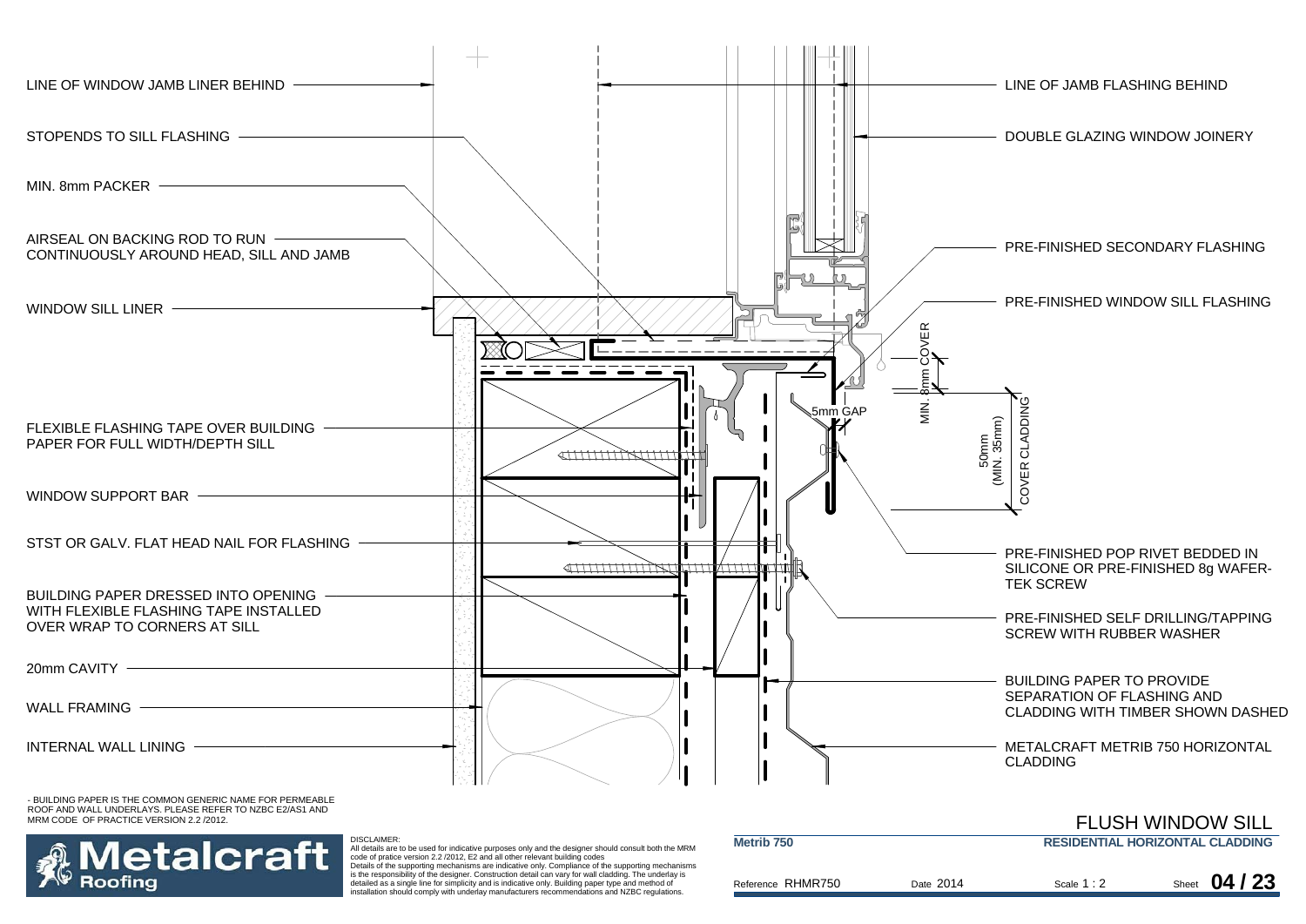

MRM CODE OF PRACTICE VERSION 2.2 /2012.



All details are to be used for indicative purposes only and the designer should consult both the MRM code of pratice version 2.2 /2012, E2 and all other relevant building codes

Details of the supporting mechanisms are indicative only. Compliance of the supporting mechanisms is the responsibility of the designer. Construction detail can vary for wall cladding. The underlay is detailed as a single line for simplicity and is indicative only. Building paper type and method of installation should comply with underlay manufacturers recommendations and NZBC regulations.

| Metrib <sub>750</sub> |           |             | <b>RESIDENTIAL HORIZONTAL CLADDING</b> |
|-----------------------|-----------|-------------|----------------------------------------|
| Reference RHMR750     | Date 2014 | Scale $1:2$ | 04/23<br>Sheet                         |

FLUSH WINDOW SILL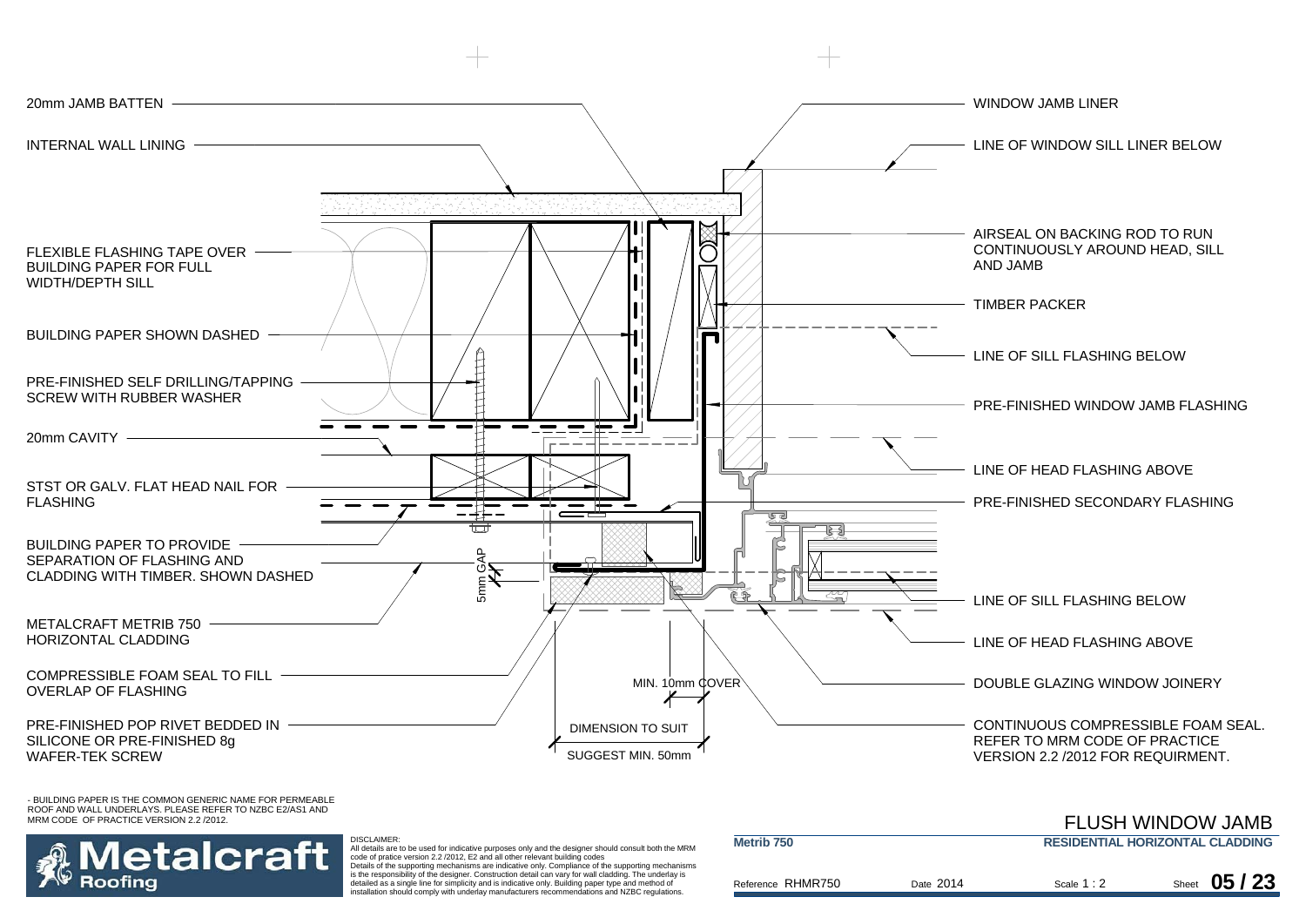



 All details are to be used for indicative purposes only and the designer should consult both the MRM code of pratice version 2.2 /2012, E2 and all other relevant building codes Details of the supporting mechanisms are indicative only. Compliance of the supporting mechanisms

DISCLAIMER:

is the responsibility of the designer. Construction detail can vary for wall cladding. The underlay is detailed as a single line for simplicity and is indicative only. Building paper type and method of installation should comply with underlay manufacturers recommendations and NZBC regulations.

|                       |           |             | T LUJI I VYIINDUVY JAMID               |
|-----------------------|-----------|-------------|----------------------------------------|
| Metrib <sub>750</sub> |           |             | <b>RESIDENTIAL HORIZONTAL CLADDING</b> |
|                       |           |             |                                        |
| Reference RHMR750     | Date 2014 | Scale $1:2$ | Sheet $05/23$                          |

FLUSH WINDOW JAMB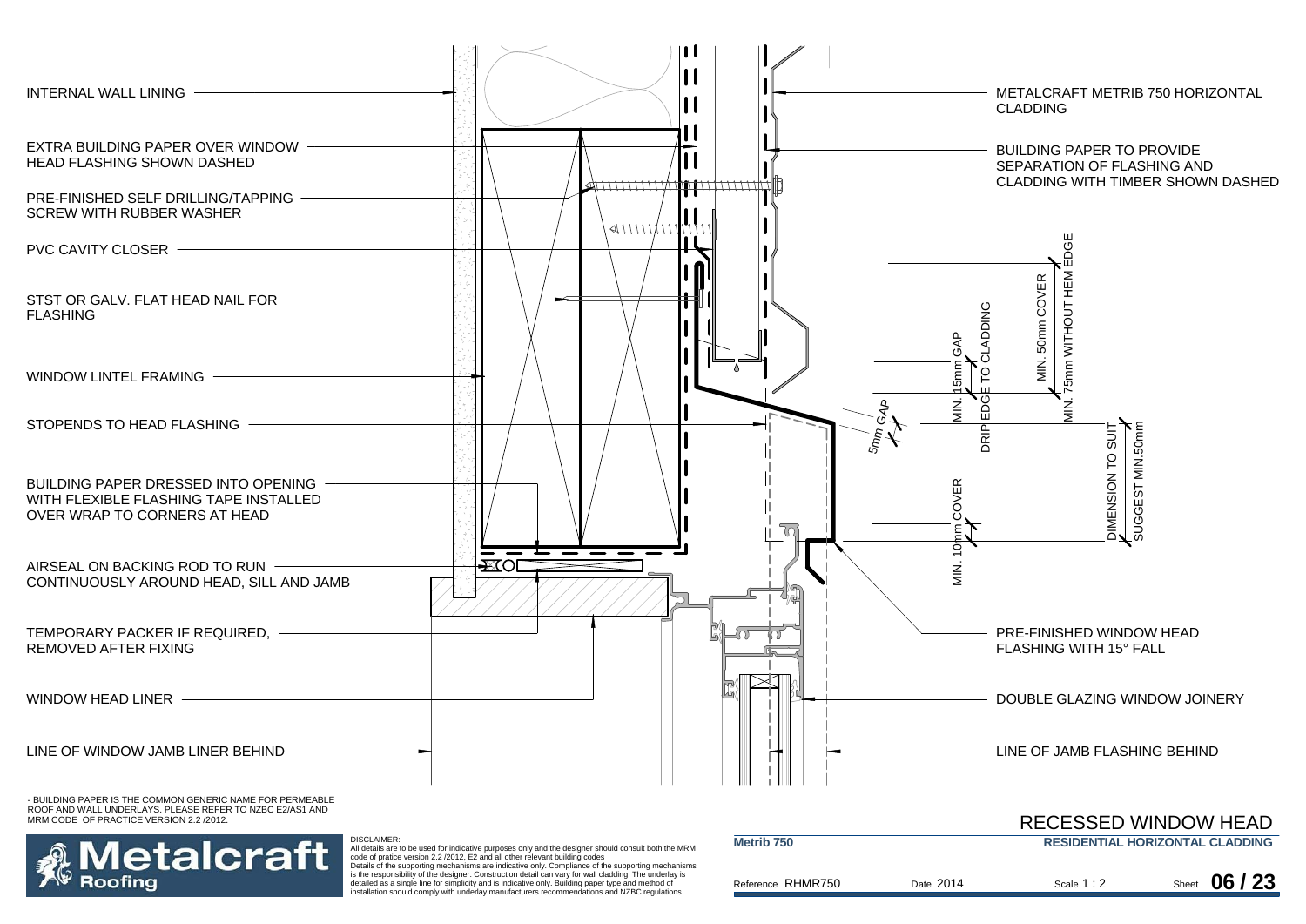

MRM CODE OF PRACTICE VERSION 2.2 /2012.



All details are to be used for indicative purposes only and the designer should consult both the MRM code of pratice version 2.2 /2012, E2 and all other relevant building codes

Details of the supporting mechanisms are indicative only. Compliance of the supporting mechanisms is the responsibility of the designer. Construction detail can vary for wall cladding. The underlay is detailed as a single line for simplicity and is indicative only. Building paper type and method of installation should comply with underlay manufacturers recommendations and NZBC regulations.

|                       |           |             | <b>RECESSED WINDOW HEAD</b>            |
|-----------------------|-----------|-------------|----------------------------------------|
| Metrib <sub>750</sub> |           |             | <b>RESIDENTIAL HORIZONTAL CLADDING</b> |
|                       |           |             |                                        |
| Reference RHMR750     | Date 2014 | Scale $1:2$ | Sheet $06/23$                          |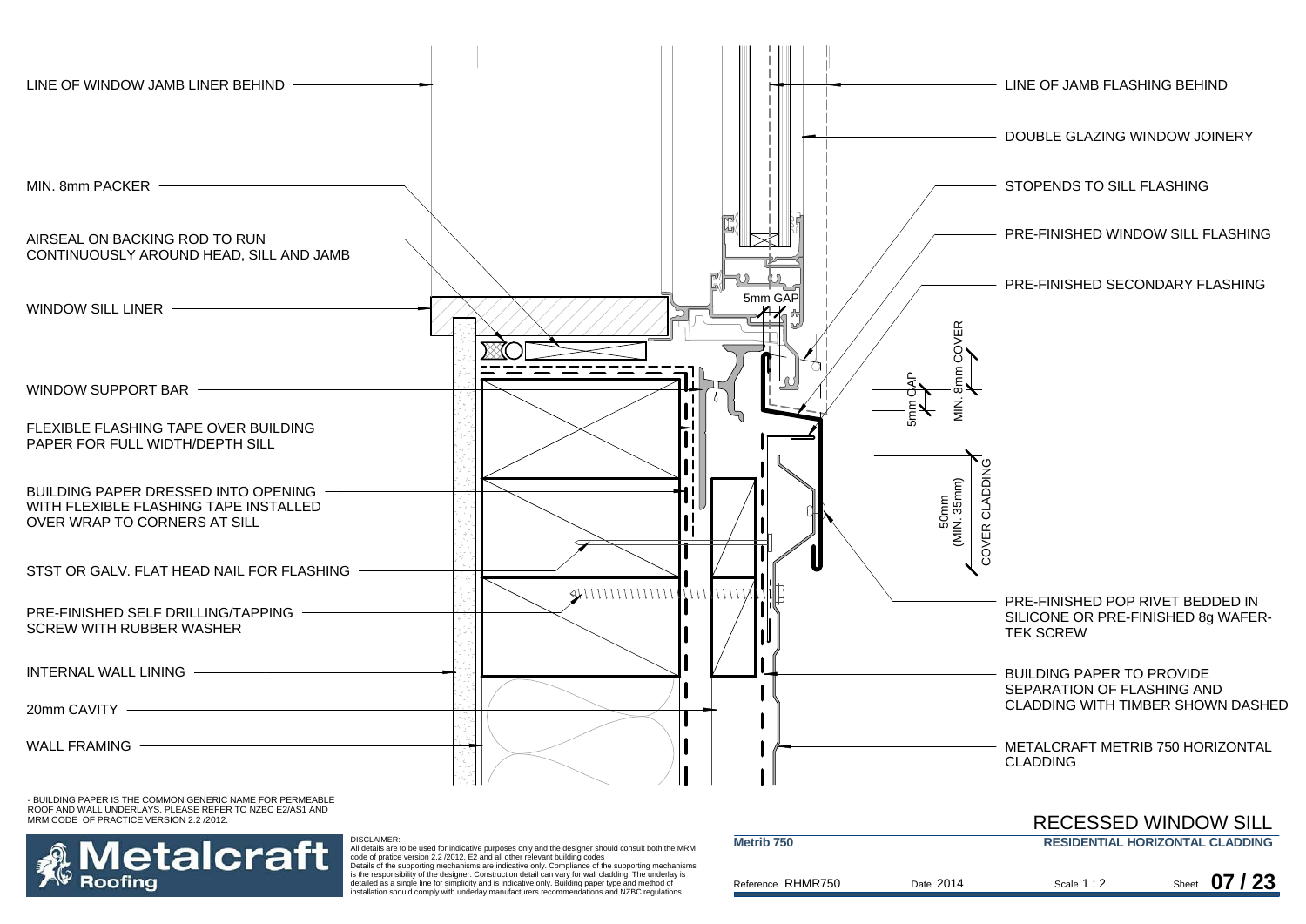

ROOF AND WALL UNDERLAYS. PLEASE REFER TO NZBC E2/AS1 AND MRM CODE OF PRACTICE VERSION 2.2 /2012.



 All details are to be used for indicative purposes only and the designer should consult both the MRM code of pratice version 2.2 /2012, E2 and all other relevant building codes Details of the supporting mechanisms are indicative only. Compliance of the supporting mechanisms

DISCLAIMER:

is the responsibility of the designer. Construction detail can vary for wall cladding. The underlay is detailed as a single line for simplicity and is indicative only. Building paper type and method of installation should comply with underlay manufacturers recommendations and NZBC regulations.

|                       |           |             | KELESSED WINDOW SILL                   |
|-----------------------|-----------|-------------|----------------------------------------|
| Metrib <sub>750</sub> |           |             | <b>RESIDENTIAL HORIZONTAL CLADDING</b> |
| Reference RHMR750     | Date 2014 | Scale $1:2$ | Sheet $07/23$                          |

RECESSED WILL IROUNDED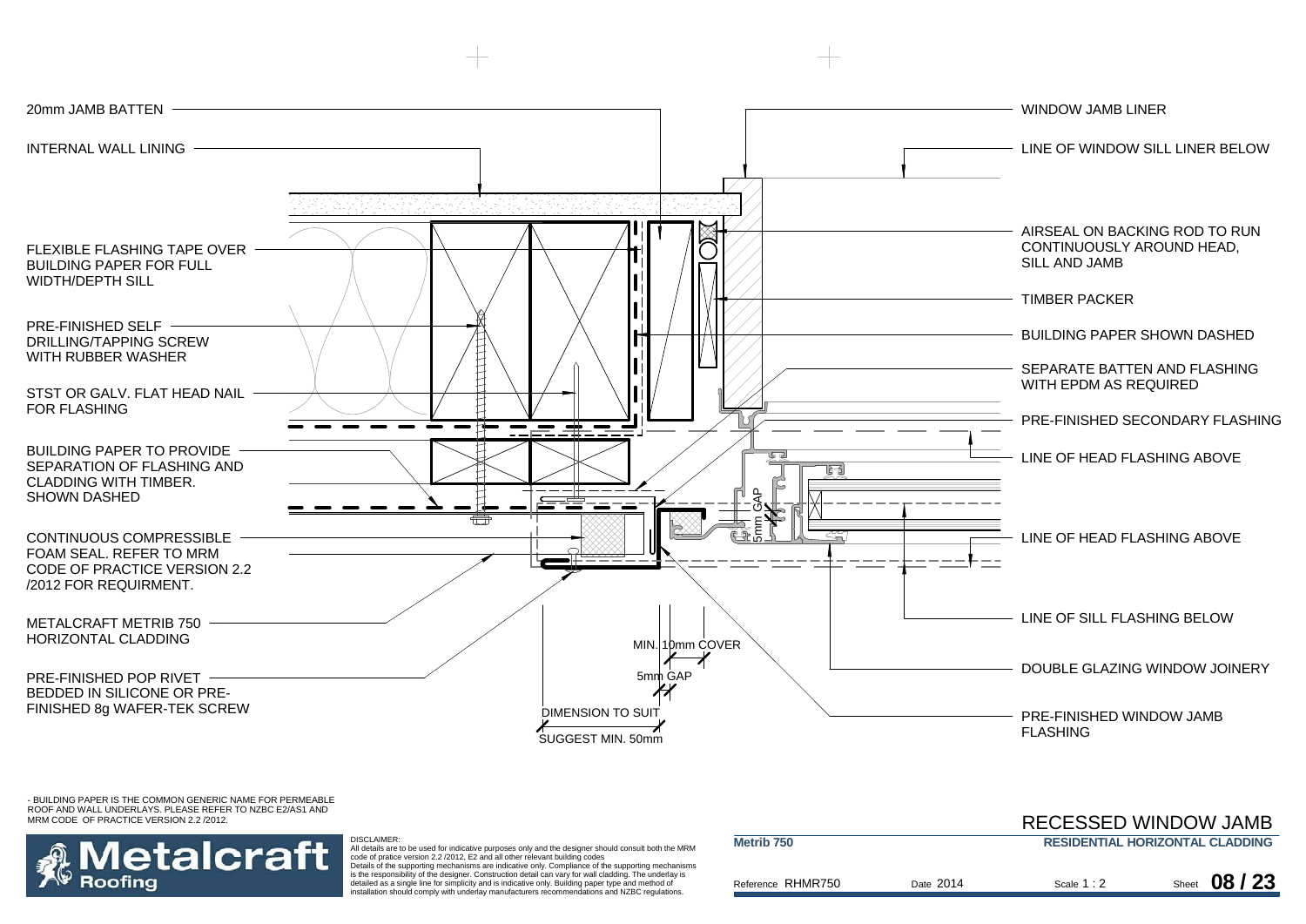

etalcraft Roofina

#### DISCLAIMER:

 All details are to be used for indicative purposes only and the designer should consult both the MRM code of pratice version 2.2 /2012, E2 and all other relevant building codes Details of the supporting mechanisms are indicative only. Compliance of the supporting mechanisms is the responsibility of the designer. Construction detail can vary for wall cladding. The underlay is

detailed as a single line for simplicity and is indicative only. Building paper type and method of installation should comply with underlay manufacturers recommendations and NZBC regulations.

| Metrib <sub>750</sub> |           |             | <b>RESIDENTIAL HORIZONTAL CLADDING</b> |
|-----------------------|-----------|-------------|----------------------------------------|
|                       |           |             |                                        |
|                       |           |             |                                        |
|                       |           |             |                                        |
| Reference RHMR750     | Date 2014 | Scale $1:2$ | Sheet 08 / 23                          |
|                       |           |             |                                        |
|                       |           |             |                                        |

RECESSED WINDOW JAMB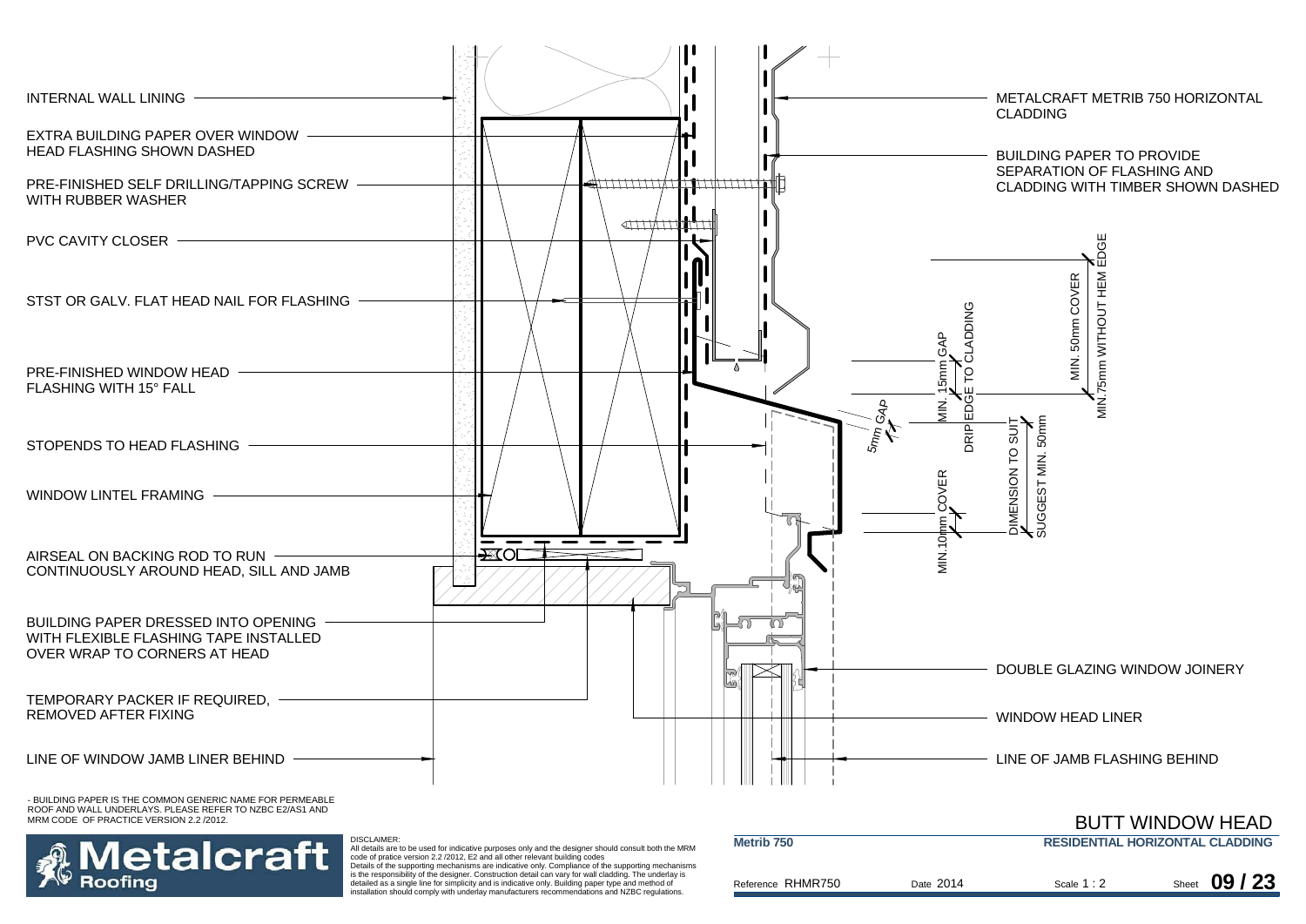

etalcraft Roofina

 All details are to be used for indicative purposes only and the designer should consult both the MRM code of pratice version 2.2 /2012, E2 and all other relevant building codes Details of the supporting mechanisms are indicative only. Compliance of the supporting mechanisms

is the responsibility of the designer. Construction detail can vary for wall cladding. The underlay is detailed as a single line for simplicity and is indicative only. Building paper type and method of installation should comply with underlay manufacturers recommendations and NZBC regulations.

| Metrib <sub>750</sub><br><b>RESIDENTIAL HORIZONTAL CLADDING</b> |           |             |  |               |
|-----------------------------------------------------------------|-----------|-------------|--|---------------|
| Reference RHMR750                                               | Date 2014 | Scale 1 : 2 |  | Sheet $09/23$ |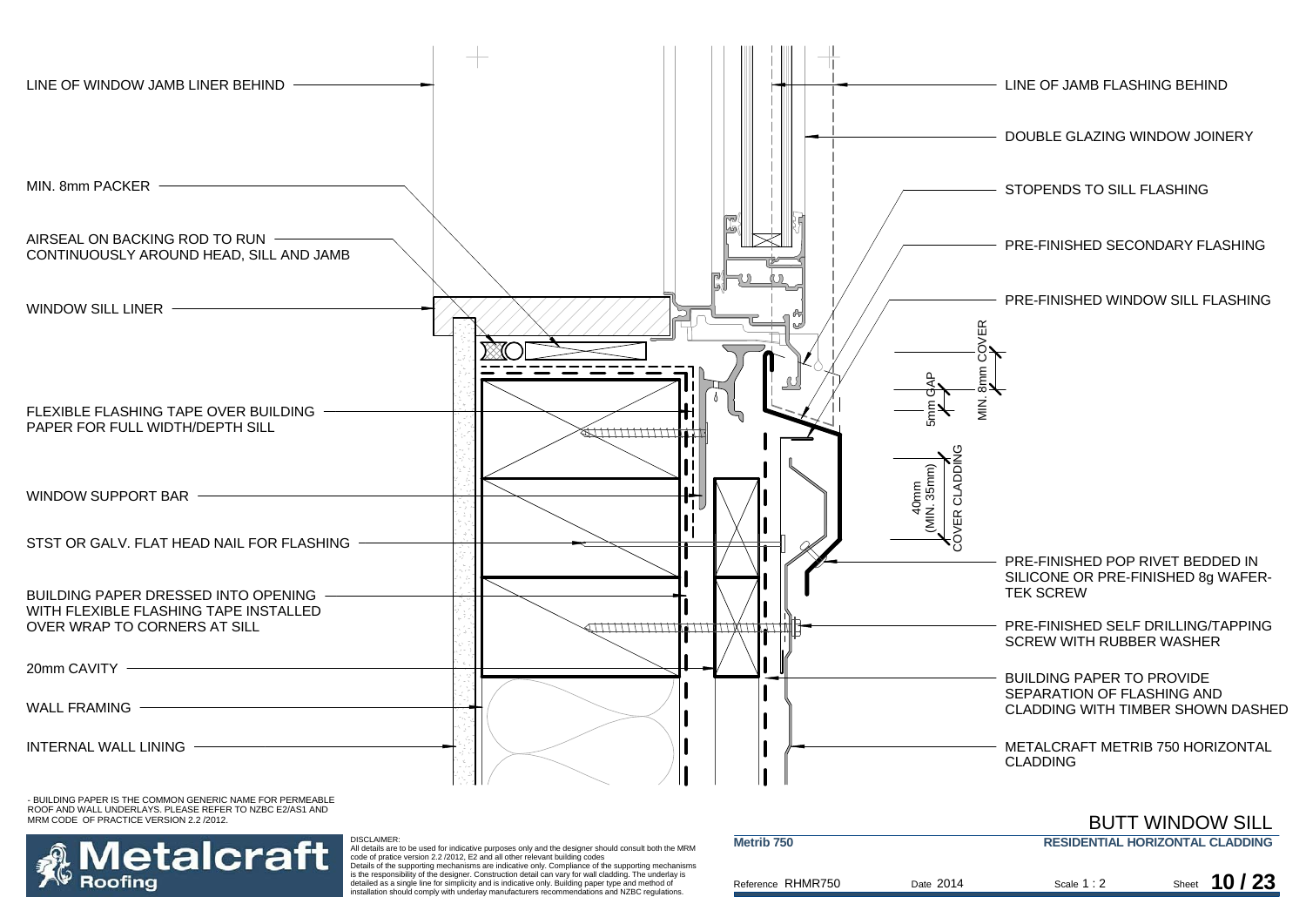



 All details are to be used for indicative purposes only and the designer should consult both the MRM code of pratice version 2.2 /2012, E2 and all other relevant building codes Details of the supporting mechanisms are indicative only. Compliance of the supporting mechanisms

DISCLAIMER:

is the responsibility of the designer. Construction detail can vary for wall cladding. The underlay is detailed as a single line for simplicity and is indicative only. Building paper type and method of installation should comply with underlay manufacturers recommendations and NZBC regulations.

| Metrib <sub>750</sub> |           |             | <b>DUTT WINDOW OILL</b><br><b>RESIDENTIAL HORIZONTAL CLADDING</b> |
|-----------------------|-----------|-------------|-------------------------------------------------------------------|
| Reference RHMR750     | Date 2014 | Scale $1:2$ | 10/23<br>Sheet                                                    |

BUTT WINDOW SILL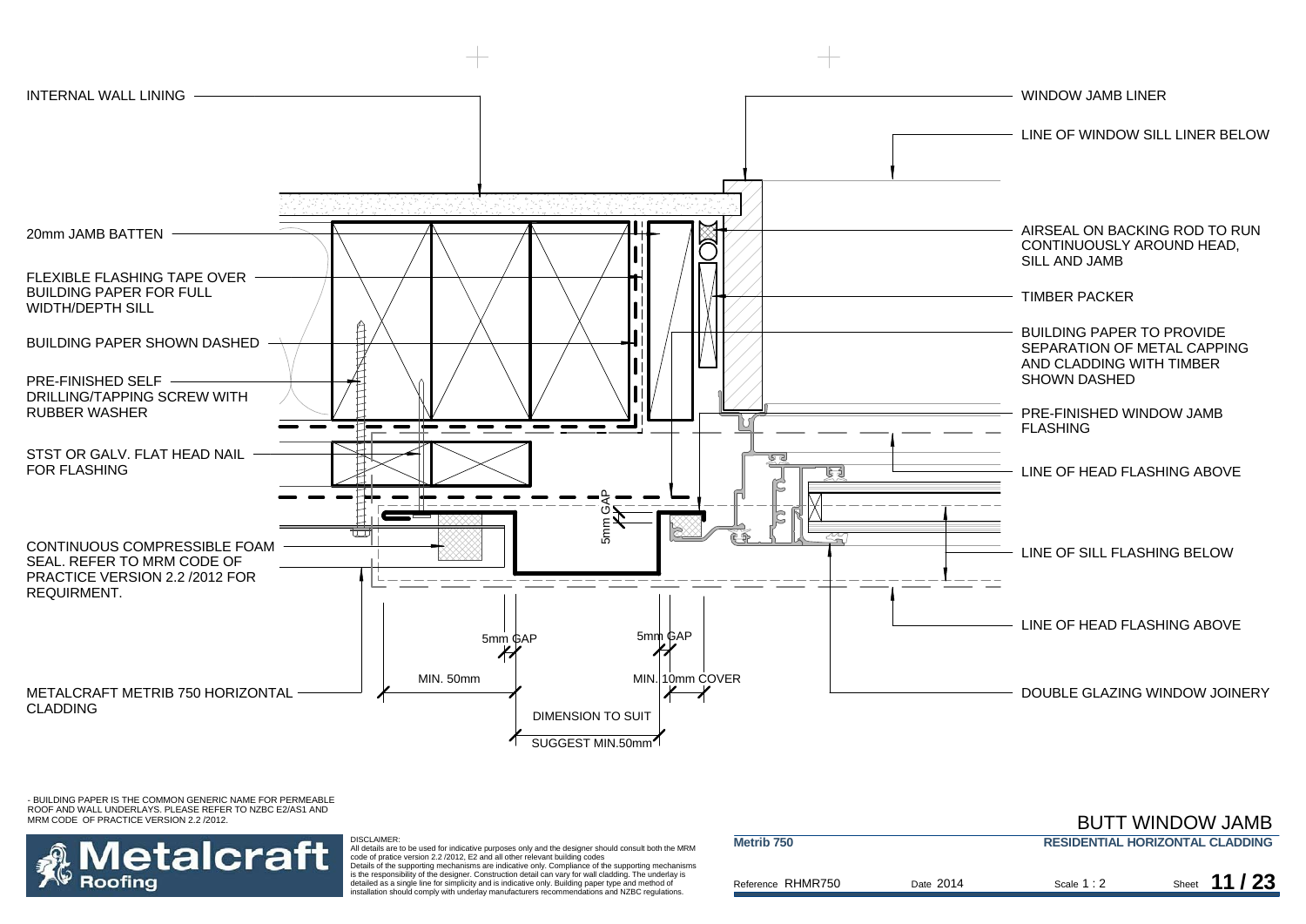

## etalcraft Roofina

DISCLAIMER: All details are to be used for indicative purposes only and the designer should consult both the MRM code of pratice version 2.2 /2012, E2 and all other relevant building codes Details of the supporting mechanisms are indicative only. Compliance of the supporting mechanisms

is the responsibility of the designer. Construction detail can vary for wall cladding. The underlay is detailed as a single line for simplicity and is indicative only. Building paper type and method of installation should comply with underlay manufacturers recommendations and NZBC regulations.

| Metrib <sub>750</sub> | <b>RESIDENTIAL HORIZONTAL CLADDING</b> |             |                |
|-----------------------|----------------------------------------|-------------|----------------|
| Reference RHMR750     | Date 2014                              | Scale $1:2$ | 11/23<br>Sheet |

BUTT WINDOW JAMB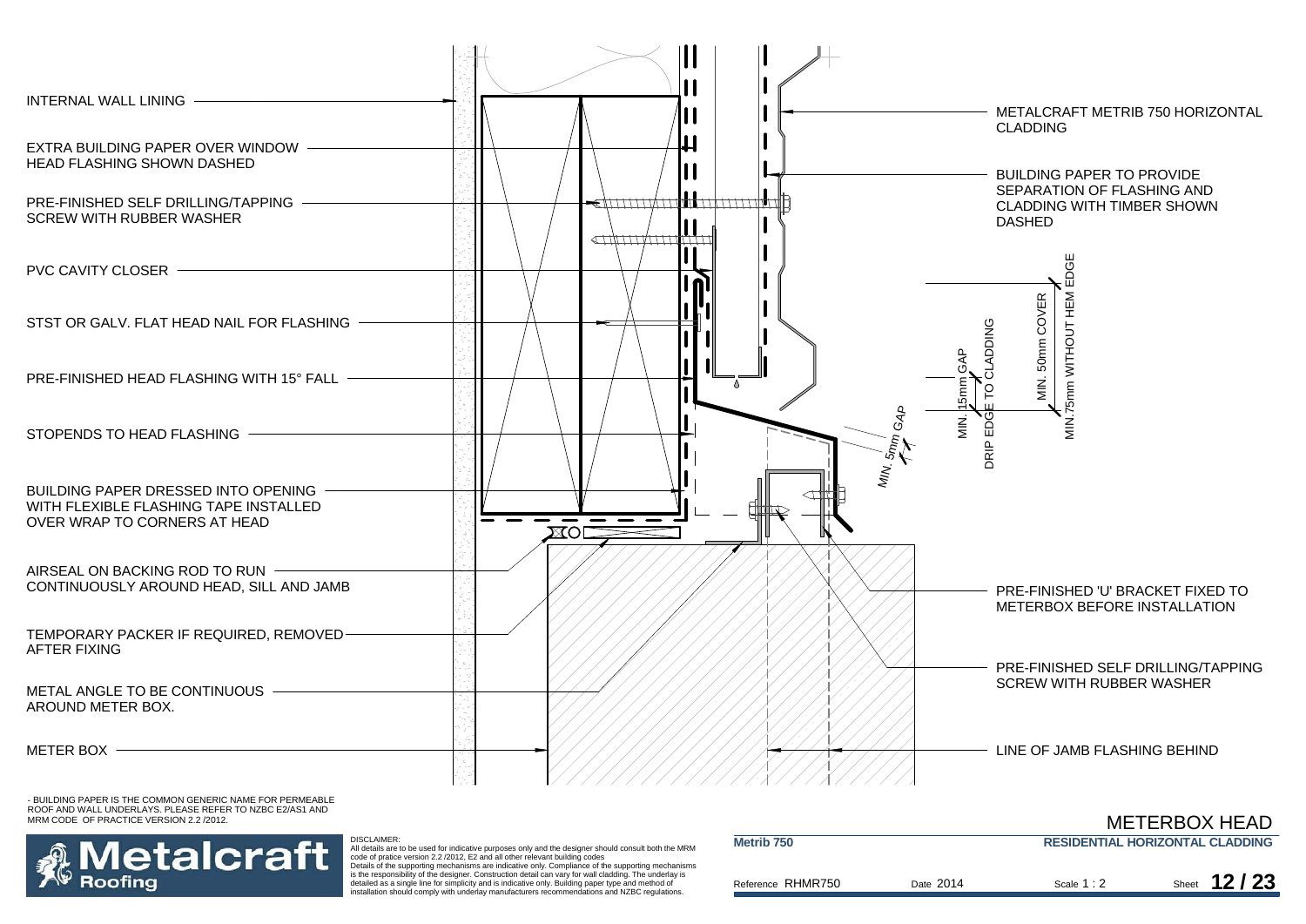



Reference Date Scale Sheet RHMR750 All details are to be used for indicative purposes only and the designer should consult both the MRM code of pratice version 2.2 /2012, E2 and all other relevant building codes Details of the supporting mechanisms are indicative only. Compliance of the supporting mechanisms is the responsibility of the designer. Construction detail can vary for wall cladding. The underlay is detailed as a single line for simplicity and is indicative only. Building paper type and method of installation should comply with underlay manufacturers recommendations and NZBC regulations. **Metrib 750 RESIDENTIAL HORIZONTAL CLADDING** Scale 1 : 2 2 Sheet **12/23** Date 2014

METERBOX HEAD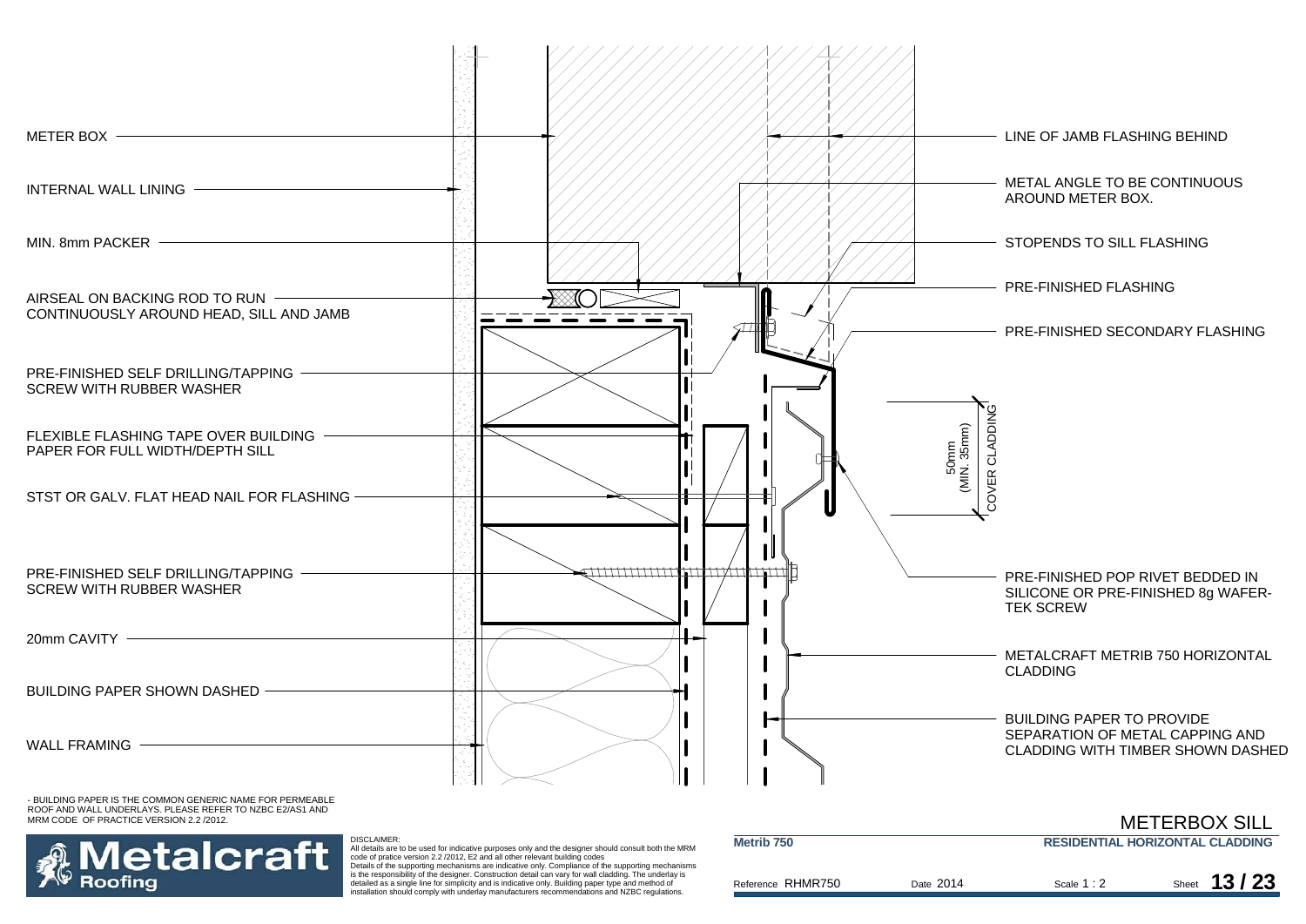



Reference Date Scale Sheet RHMR750 All details are to be used for indicative purposes only and the designer should consult both the MRM<br>code of pratice version 2.2 /2012, E2 and all other relevant building codes<br>Details of the supporting mechanisms are indi detailed as a single line for simplicity and is indicative only. Building paper type and method of installation should comply with underlay manufacturers recommendations and NZBC regulations. **Metrib 750 RESIDENTIAL HORIZONTAL CLADDING**Scale 1 : 2 2 Sheet **13/23** METERBOX SILLDate 2014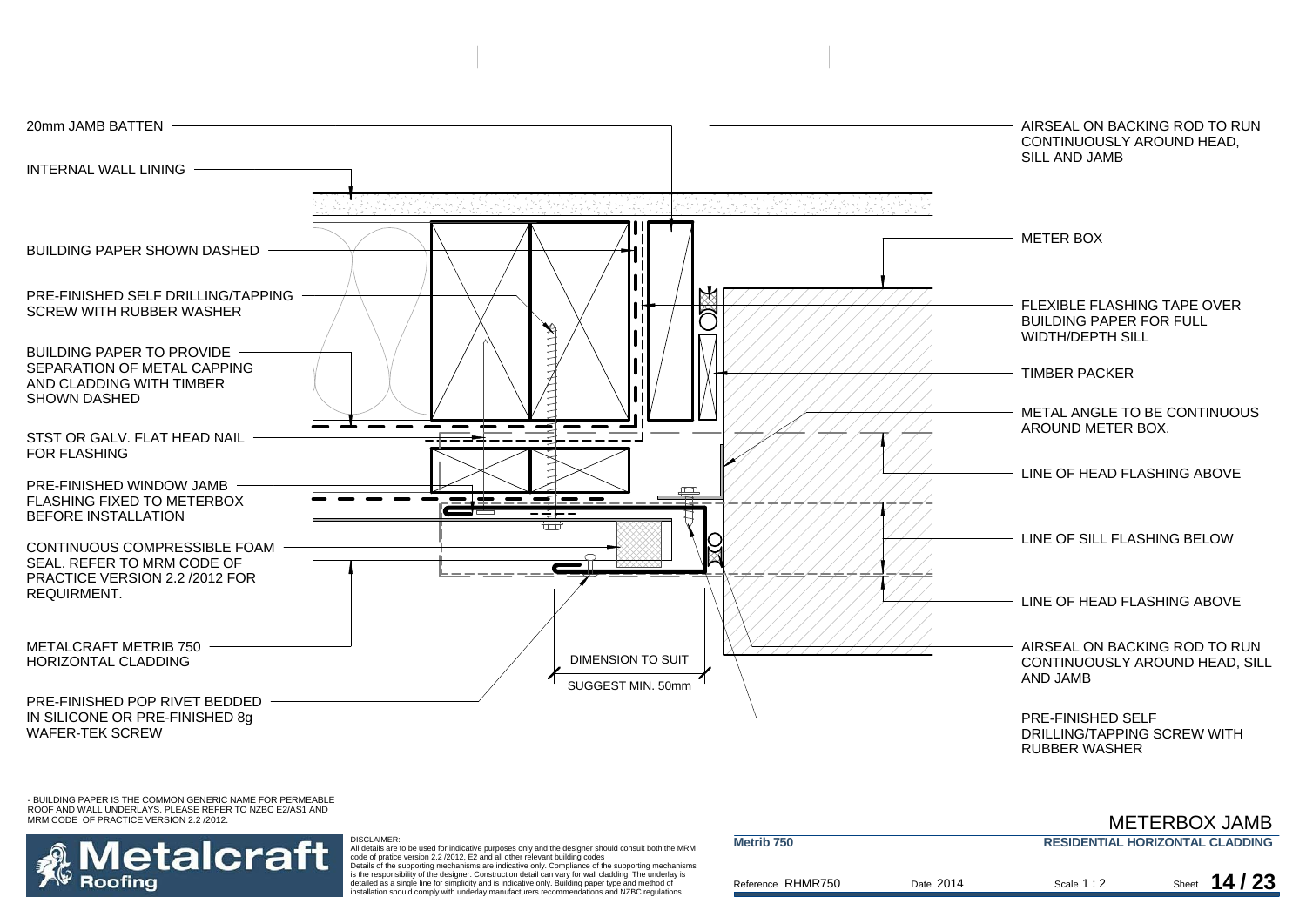

#### - BUILDING PAPER IS THE COMMON GENERIC NAME FOR PERMEABLE ROOF AND WALL UNDERLAYS. PLEASE REFER TO NZBC E2/AS1 AND MRM CODE OF PRACTICE VERSION 2.2 /2012.

#### **RESIDENTIAL HORIZONTAL CLADDING**METERBOX JAMB



 All details are to be used for indicative purposes only and the designer should consult both the MRM code of pratice version 2.2 /2012, E2 and all other relevant building codes Details of the supporting mechanisms are indicative only. Compliance of the supporting mechanisms is the responsibility of the designer. Construction detail can vary for wall cladding. The underlay is detailed as a single line for simplicity and is indicative only. Building paper type and method of installation should comply with underlay manufacturers recommendations and NZBC regulations.

DISCLAIMER:

| <b>NETTID TOO</b> |           |             | <b>RESIDENTIAL HURIZUNTAL CLADDING</b> |
|-------------------|-----------|-------------|----------------------------------------|
| Reference RHMR750 | Date 2014 | Scale $1:2$ | Sheet $14/23$                          |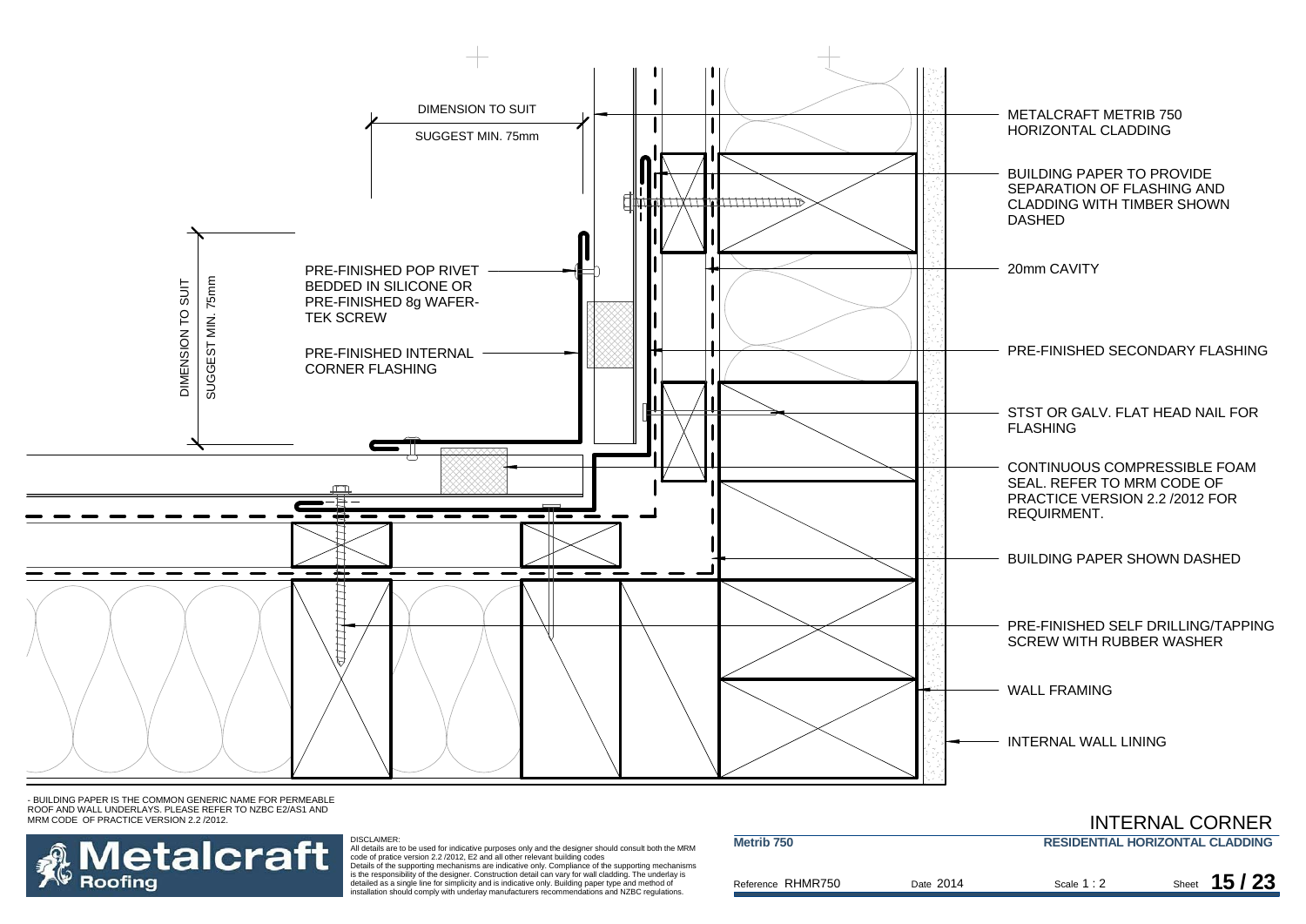



DISCLAIMER:<br>All details are to be used for indicative purposes only and the designer should consult both the MRM<br>code of pratice version 2.2 /2012, E2 and all other relevant building codes Details of the supporting mechanisms are indicative only. Compliance of the supporting mechanisms

is the responsibility of the designer. Construction detail can vary for wall cladding. The underlay is detailed as a single line for simplicity and is indicative only. Building paper type and method of installation should comply with underlay manufacturers recommendations and NZBC regulations.

| Metrib <sub>750</sub> |           |             | $\overline{1111}$ is the state of state that $\overline{111}$<br><b>RESIDENTIAL HORIZONTAL CLADDING</b> |
|-----------------------|-----------|-------------|---------------------------------------------------------------------------------------------------------|
| Reference RHMR750     | Date 2014 | Scale $1:2$ | 15/23<br>Sheet                                                                                          |

INTERNAL CORNER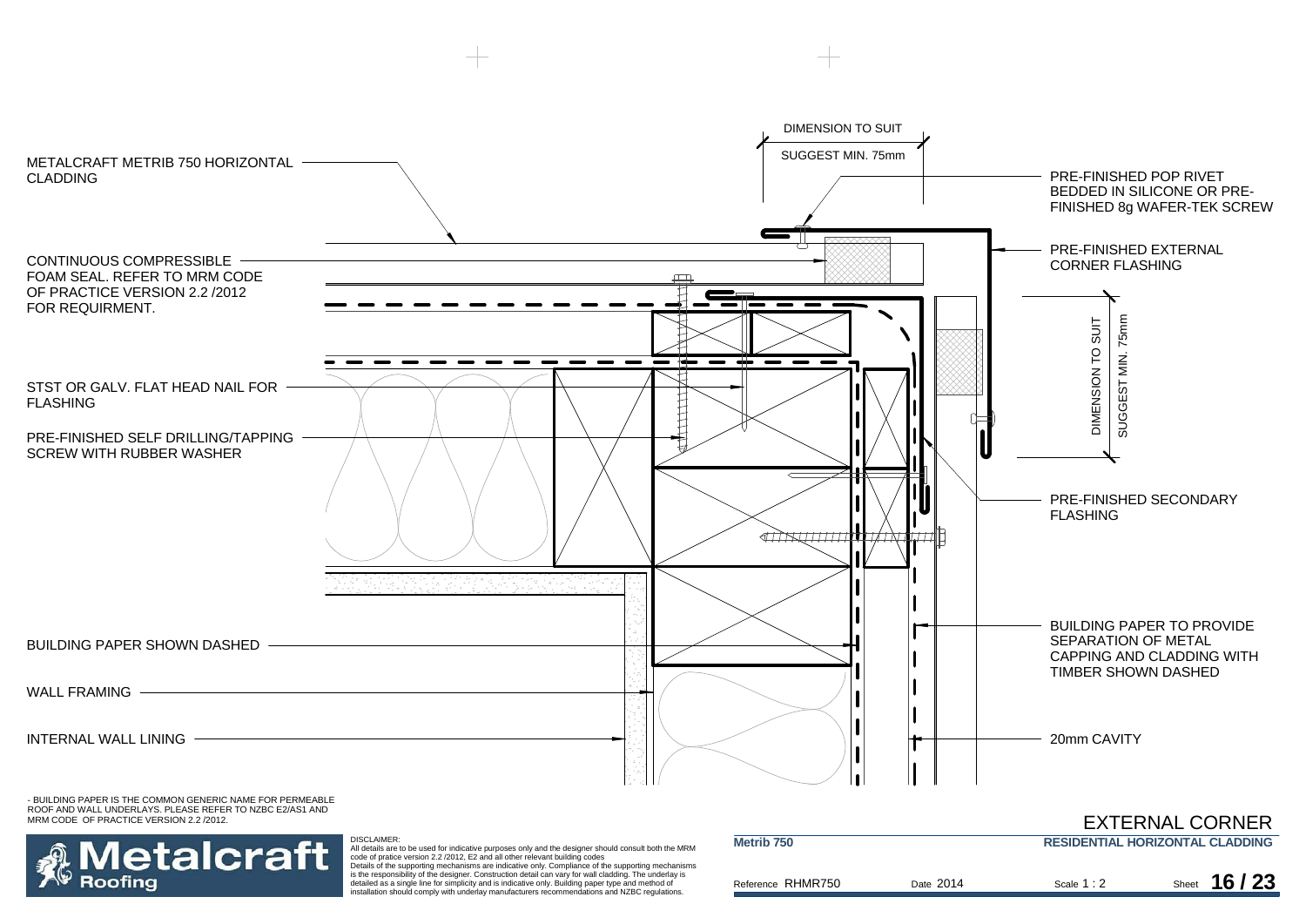



DISCLAIMER: All details are to be used for indicative purposes only and the designer should consult both the MRM<br>code of pratice version 2.2 /2012, E2 and all other relevant building codes<br>Details of the supporting mechanisms are indi

is the responsibility of the designer. Construction detail can vary for wall cladding. The underlay is detailed as a single line for simplicity and is indicative only. Building paper type and method of installation should comply with underlay manufacturers recommendations and NZBC regulations.

| Metrib <sub>750</sub> |           |             | _______________________________<br><b>RESIDENTIAL HORIZONTAL CLADDING</b> |
|-----------------------|-----------|-------------|---------------------------------------------------------------------------|
| Reference RHMR750     | Date 2014 | Scale $1:2$ | 16/23<br>Sheet                                                            |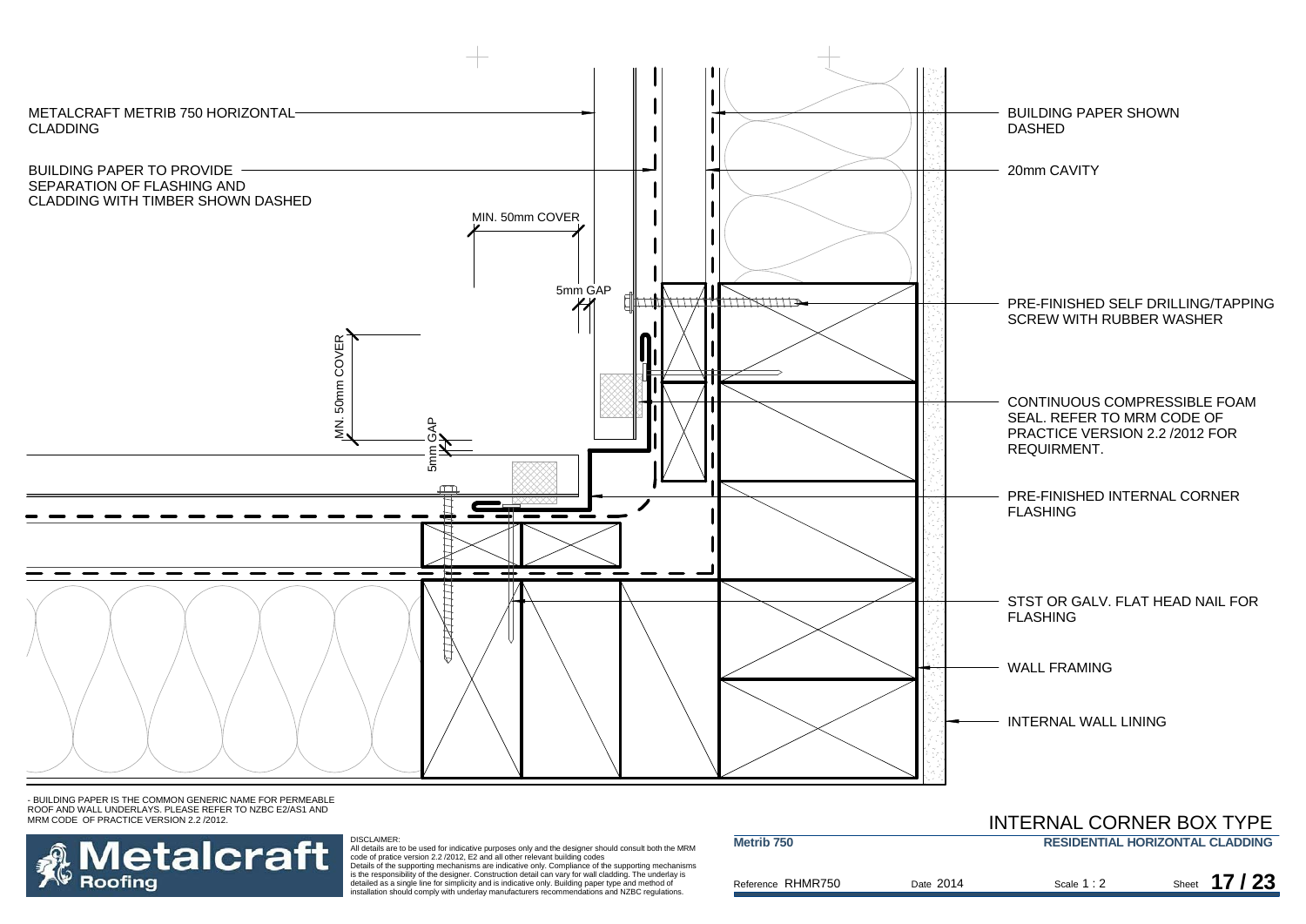

- BUILDING PAPER IS THE COMMON GENERIC NAME FOR PERMEABLE ROOF AND WALL UNDERLAYS. PLEASE REFER TO NZBC E2/AS1 AND MRM CODE OF PRACTICE VERSION 2.2 /2012.



DISCLAIMER:<br>All details are to be used for indicative purposes only and the designer should consult both the MRM<br>Code of pratice version 2.2 /2012, E2 and all other relevant building codes<br>Details of the supporting mechani

detailed as a single line for simplicity and is indicative only. Building paper type and method of installation should comply with underlay manufacturers recommendations and NZBC regulations.

|                   |           | <b>INTERNAL CONNER DOATTEL</b> |                                        |
|-------------------|-----------|--------------------------------|----------------------------------------|
| Metrib 750        |           |                                | <b>RESIDENTIAL HORIZONTAL CLADDING</b> |
| Reference RHMR750 | Date 2014 | Scale $1:2$                    | Sheet $17/23$                          |

INITEDNIAL CODNIED DOV TVDE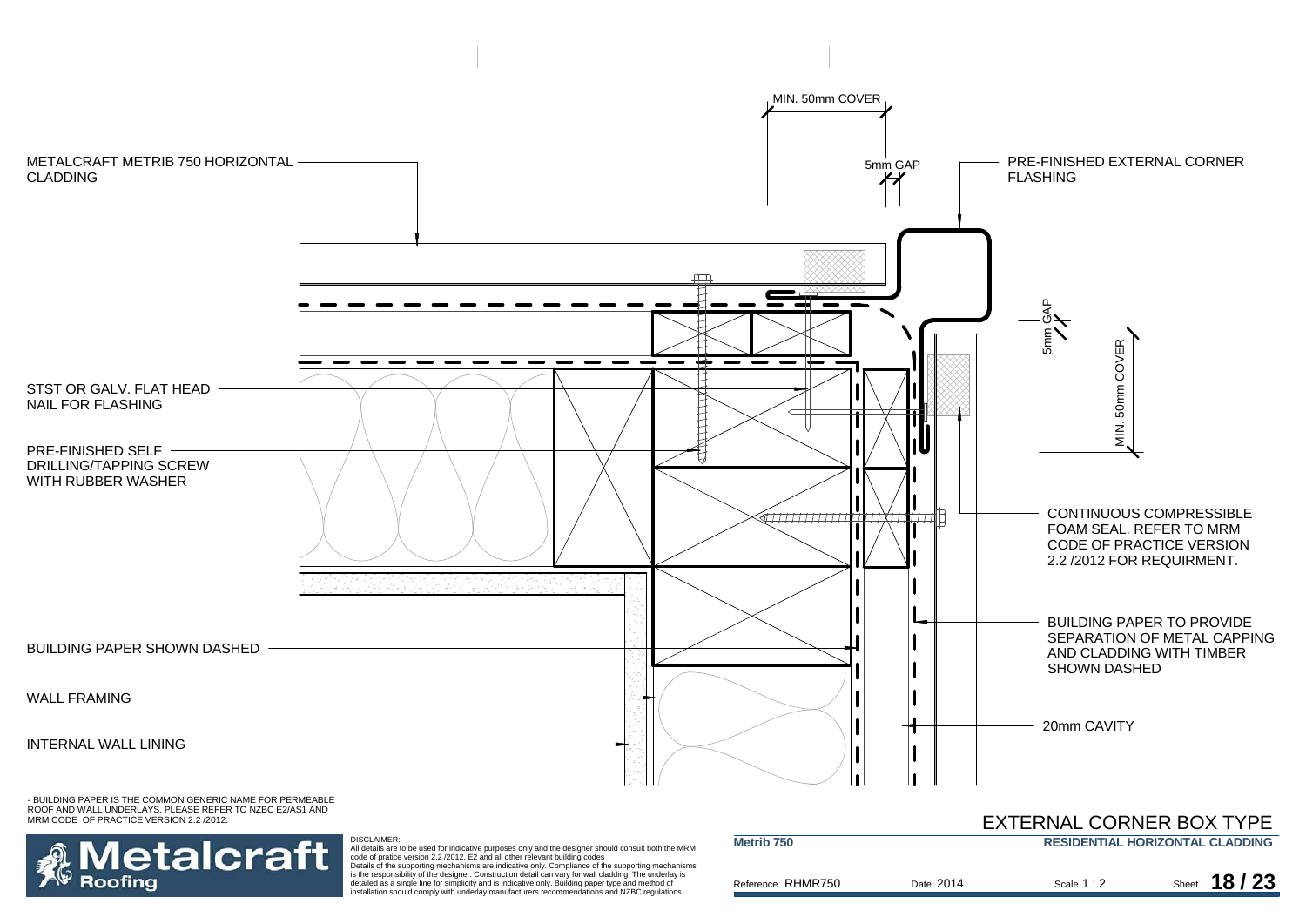

is the responsibility of the designer. Construction detail can vary for wall cladding. The underlay is detailed as a single line for simplicity and is indicative only. Building paper type and method of installation should comply with underlay manufacturers recommendations and NZBC regulations.

Roofina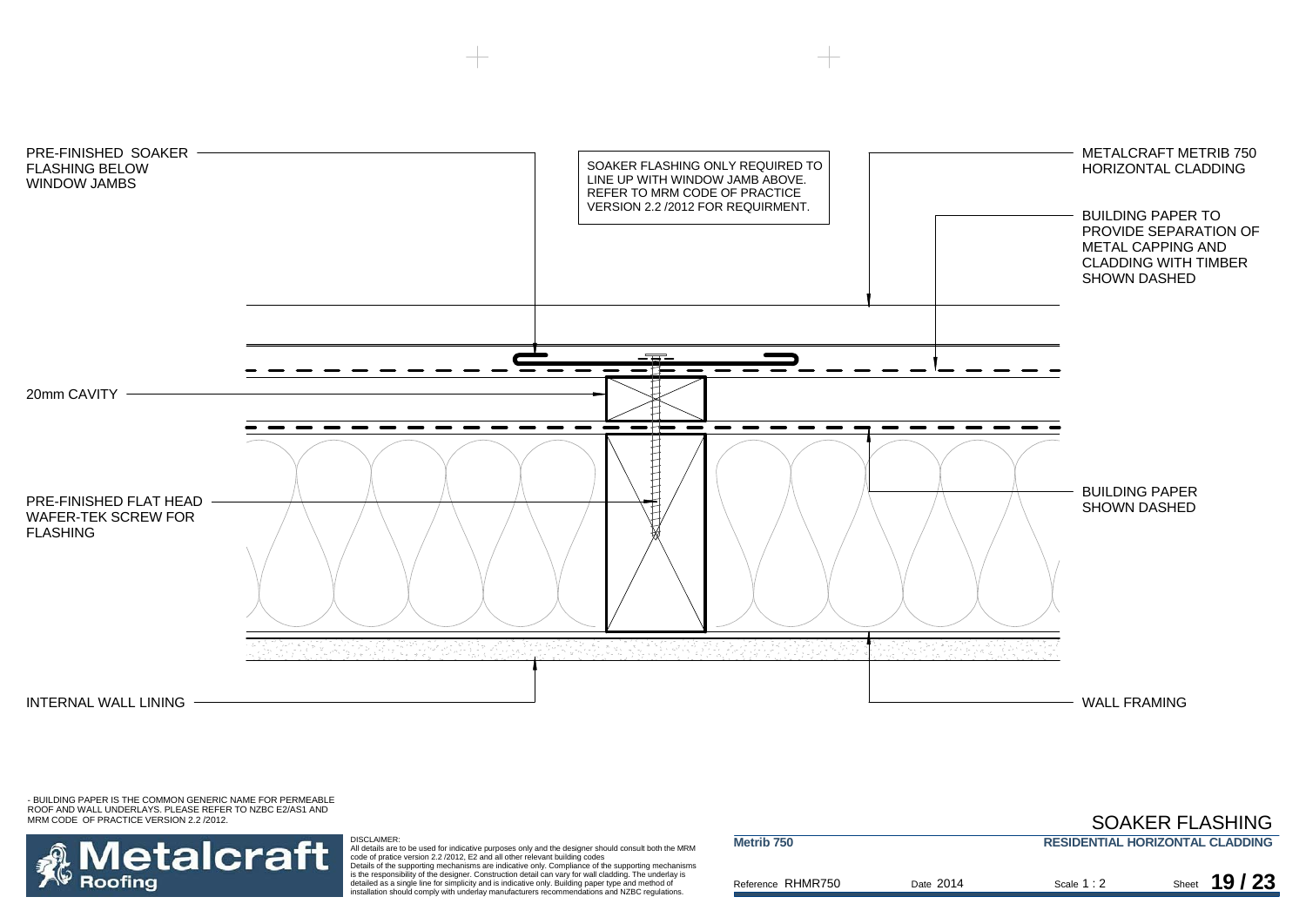

- BUILDING PAPER IS THE COMMON GENERIC NAME FOR PERMEABLE ROOF AND WALL UNDERLAYS. PLEASE REFER TO NZBC E2/AS1 AND MRM CODE OF PRACTICE VERSION 2.2 /2012.

## SOAKER FLASHING

**Metalcraft Roofing** 

DISCLAIMER:

All details are to be used for indicative purposes only and the designer should consult both the MRM<br>code of pratice version 2.2 /2012, E2 and all other relevant building codes<br>Details of the supporting mechanisms are indi

detailed as a single line for simplicity and is indicative only. Building paper type and method of installation should comply with underlay manufacturers recommendations and NZBC regulations.

| Metrib <sub>750</sub> |           |             | <b>RESIDENTIAL HORIZONTAL CLADDING</b> |
|-----------------------|-----------|-------------|----------------------------------------|
| Reference RHMR750     | Date 2014 | Scale $1:2$ | 19/23<br>Sheet                         |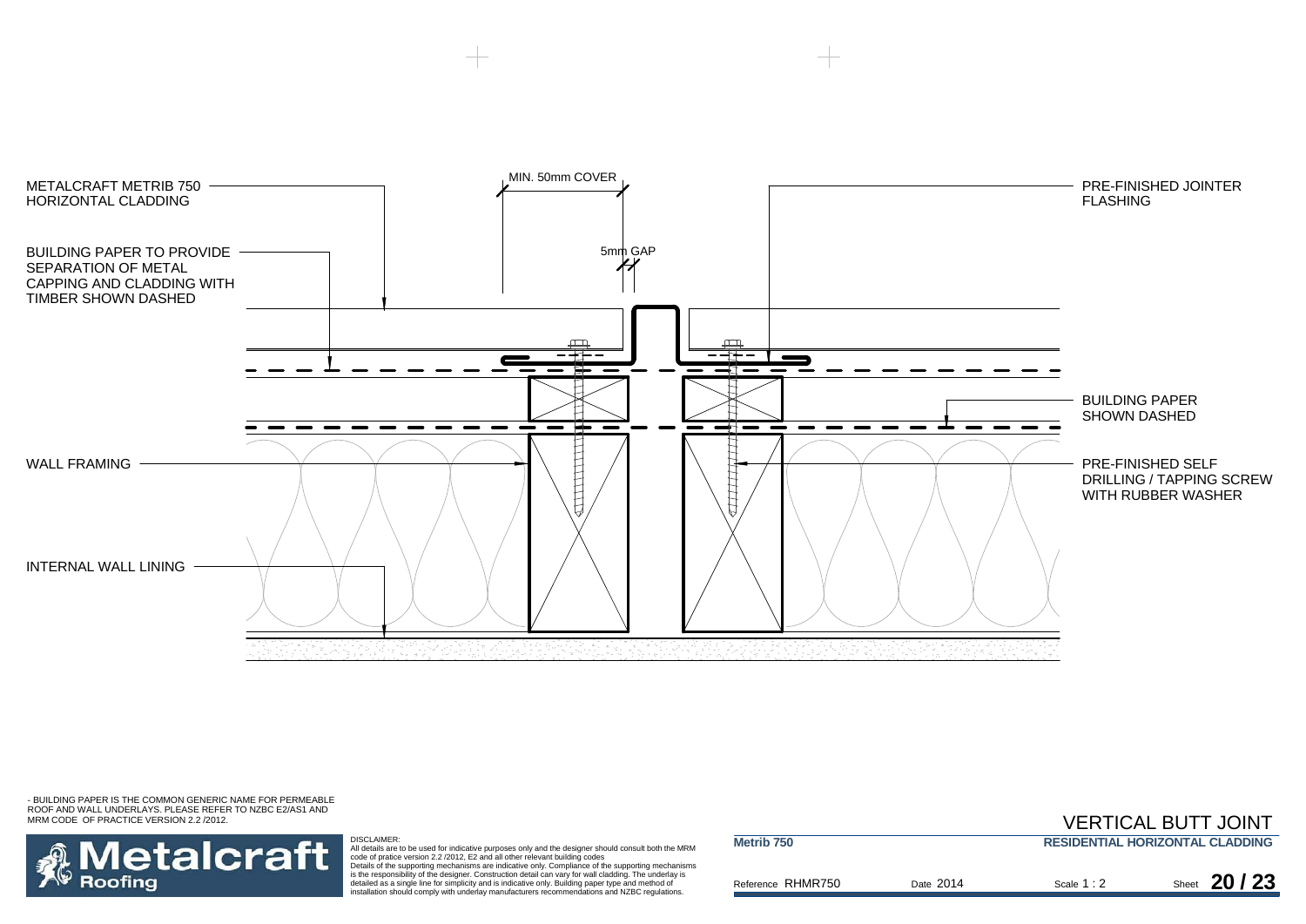



DISCLAIMER:

All details are to be used for indicative purposes only and the designer should consult both the MRM<br>code of pratice version 2.2 /2012, E2 and all other relevant building codes<br>Details of the supporting mechanisms are indi

detailed as a single line for simplicity and is indicative only. Building paper type and method of installation should comply with underlay manufacturers recommendations and NZBC regulations.

|                       |           |                                        | <b>VERTICAL BUTT JOINT</b> |  |
|-----------------------|-----------|----------------------------------------|----------------------------|--|
| Metrib <sub>750</sub> |           | <b>RESIDENTIAL HORIZONTAL CLADDING</b> |                            |  |
| Reference RHMR750     | Date 2014 | Scale $1:2$                            | Sheet $20/23$              |  |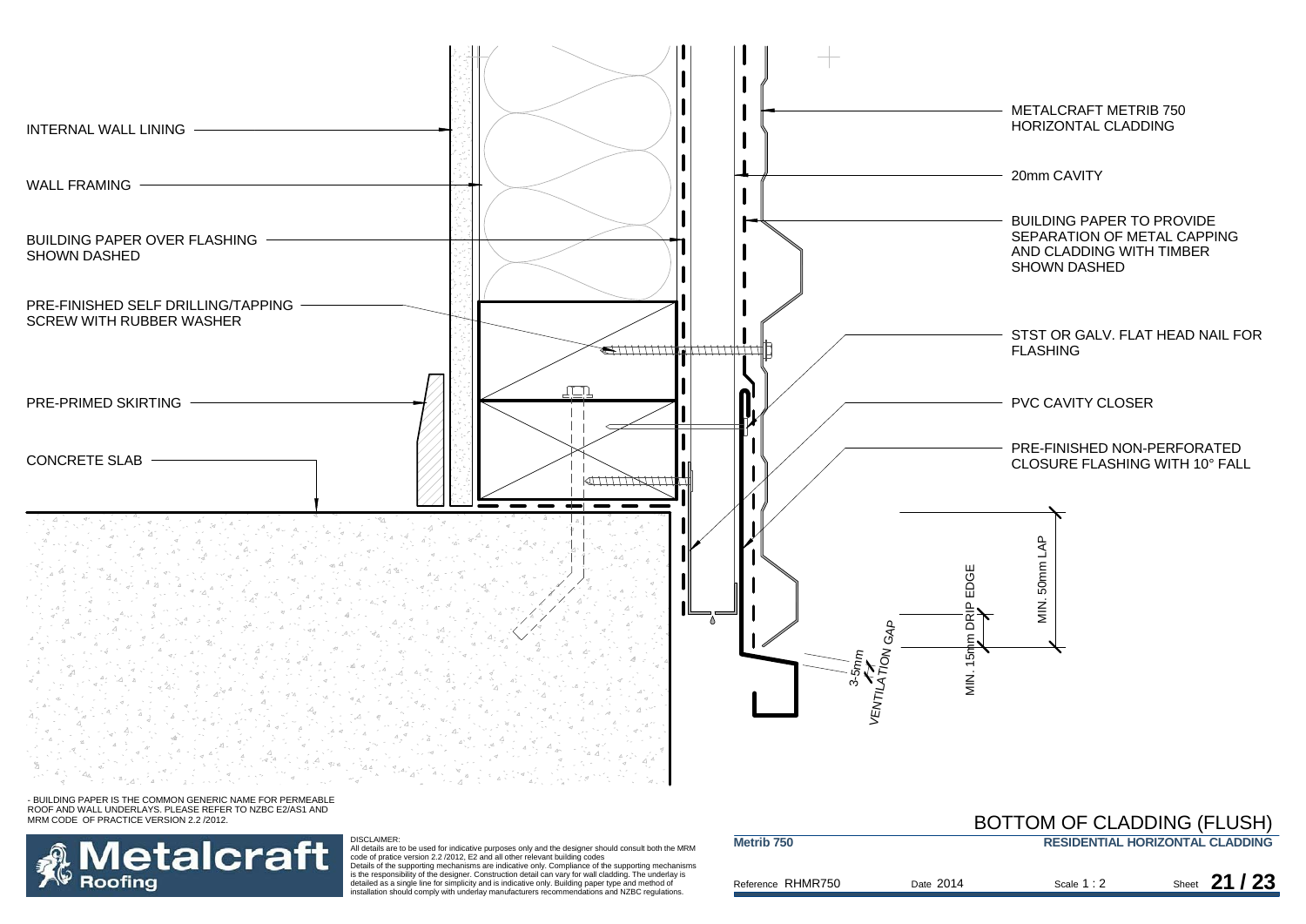

### - BUILDING PAPER IS THE COMMON GENERIC NAME FOR PERMEABLE ROOF AND WALL UNDERLAYS. PLEASE REFER TO NZBC E2/AS1 AND MRM CODE OF PRACTICE VERSION 2.2 /2012.



DISCLAIMER:<br>All details are to be used for indicative purposes only and the designer should consult both the MRM<br>Code of pratice version 2.2 /2012, E2 and all other relevant building codes<br>Details of the supporting mechani

detailed as a single line for simplicity and is indicative only. Building paper type and method of installation should comply with underlay manufacturers recommendations and NZBC regulations.

## **RESIDENTIAL HORIZONTAL CLADDING**BOTTOM OF CLADDING (FLUSH)

| Reference RHMR750 | Date 2014 | Scale $1:2$ | Sheet 21 / 23 |
|-------------------|-----------|-------------|---------------|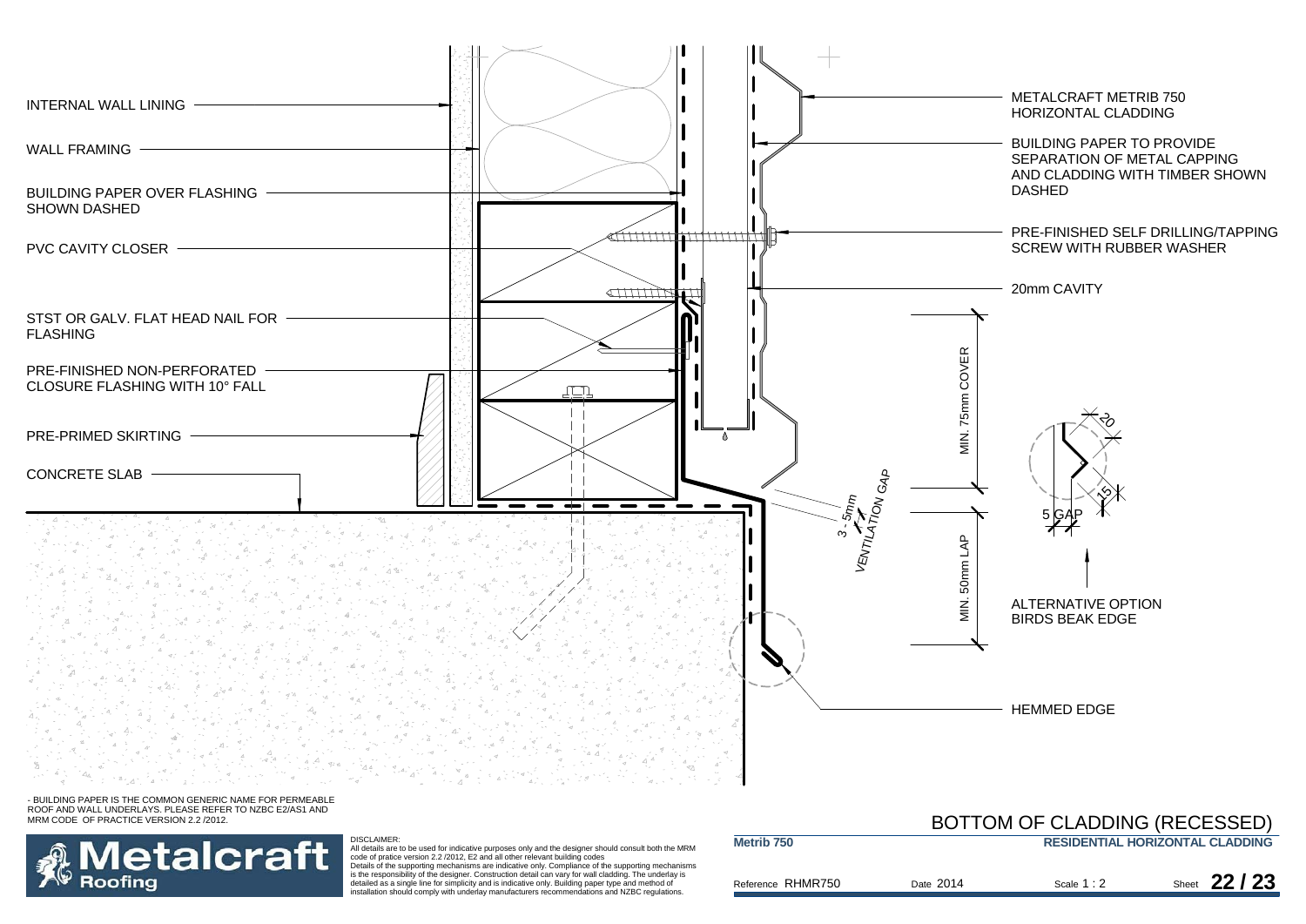



DISCLAIMER:<br>All details are to be used for indicative purposes only and the designer should consult both the MRM<br>Code of pratice version 2.2 /2012, E2 and all other relevant building codes<br>Details of the supporting mechani detailed as a single line for simplicity and is indicative only. Building paper type and method of installation should comply with underlay manufacturers recommendations and NZBC regulations.

#### Reference Date Scale Sheet RHMR750 **Metrib 750 RESIDENTIAL HORIZONTAL CLADDING** Scale 1:2 2 Sheet **22/23** BOTTOM OF CLADDING (RECESSED) Date 2014